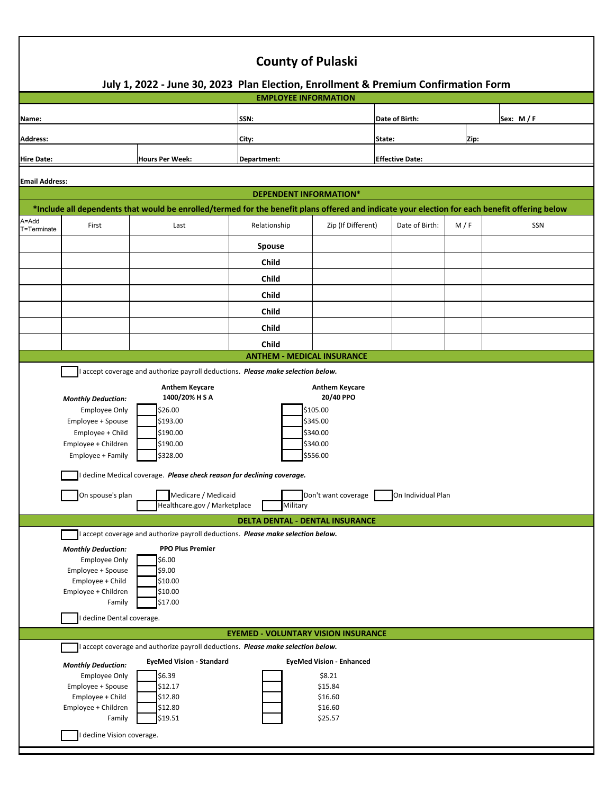| <b>County of Pulaski</b>                                                                                                                                                                                                                                                                                                                                                                                                                                                                                                                                                                                                                                                                                                                                                                                                                                                                                                                                                            |                                                                                                                             |                                                                                                                                                                         |                                            |                                                                                       |                        |     |            |  |  |
|-------------------------------------------------------------------------------------------------------------------------------------------------------------------------------------------------------------------------------------------------------------------------------------------------------------------------------------------------------------------------------------------------------------------------------------------------------------------------------------------------------------------------------------------------------------------------------------------------------------------------------------------------------------------------------------------------------------------------------------------------------------------------------------------------------------------------------------------------------------------------------------------------------------------------------------------------------------------------------------|-----------------------------------------------------------------------------------------------------------------------------|-------------------------------------------------------------------------------------------------------------------------------------------------------------------------|--------------------------------------------|---------------------------------------------------------------------------------------|------------------------|-----|------------|--|--|
| July 1, 2022 - June 30, 2023 Plan Election, Enrollment & Premium Confirmation Form<br><b>EMPLOYEE INFORMATION</b>                                                                                                                                                                                                                                                                                                                                                                                                                                                                                                                                                                                                                                                                                                                                                                                                                                                                   |                                                                                                                             |                                                                                                                                                                         |                                            |                                                                                       |                        |     |            |  |  |
|                                                                                                                                                                                                                                                                                                                                                                                                                                                                                                                                                                                                                                                                                                                                                                                                                                                                                                                                                                                     |                                                                                                                             |                                                                                                                                                                         | SSN:                                       |                                                                                       | Date of Birth:         |     |            |  |  |
| Name:                                                                                                                                                                                                                                                                                                                                                                                                                                                                                                                                                                                                                                                                                                                                                                                                                                                                                                                                                                               |                                                                                                                             |                                                                                                                                                                         |                                            |                                                                                       |                        |     | Sex: $M/F$ |  |  |
| <b>Address:</b>                                                                                                                                                                                                                                                                                                                                                                                                                                                                                                                                                                                                                                                                                                                                                                                                                                                                                                                                                                     |                                                                                                                             |                                                                                                                                                                         | City:                                      |                                                                                       | State:<br>Zip:         |     |            |  |  |
| <b>Hire Date:</b><br><b>Hours Per Week:</b>                                                                                                                                                                                                                                                                                                                                                                                                                                                                                                                                                                                                                                                                                                                                                                                                                                                                                                                                         |                                                                                                                             |                                                                                                                                                                         | Department:                                |                                                                                       | <b>Effective Date:</b> |     |            |  |  |
| <b>Email Address:</b>                                                                                                                                                                                                                                                                                                                                                                                                                                                                                                                                                                                                                                                                                                                                                                                                                                                                                                                                                               |                                                                                                                             |                                                                                                                                                                         |                                            |                                                                                       |                        |     |            |  |  |
| <b>DEPENDENT INFORMATION*</b>                                                                                                                                                                                                                                                                                                                                                                                                                                                                                                                                                                                                                                                                                                                                                                                                                                                                                                                                                       |                                                                                                                             |                                                                                                                                                                         |                                            |                                                                                       |                        |     |            |  |  |
|                                                                                                                                                                                                                                                                                                                                                                                                                                                                                                                                                                                                                                                                                                                                                                                                                                                                                                                                                                                     |                                                                                                                             | *Include all dependents that would be enrolled/termed for the benefit plans offered and indicate your election for each benefit offering below                          |                                            |                                                                                       |                        |     |            |  |  |
| A=Add<br>T=Terminate                                                                                                                                                                                                                                                                                                                                                                                                                                                                                                                                                                                                                                                                                                                                                                                                                                                                                                                                                                | First                                                                                                                       | Last                                                                                                                                                                    | Relationship                               | Zip (If Different)                                                                    | Date of Birth:         | M/F | SSN        |  |  |
|                                                                                                                                                                                                                                                                                                                                                                                                                                                                                                                                                                                                                                                                                                                                                                                                                                                                                                                                                                                     |                                                                                                                             |                                                                                                                                                                         | <b>Spouse</b>                              |                                                                                       |                        |     |            |  |  |
|                                                                                                                                                                                                                                                                                                                                                                                                                                                                                                                                                                                                                                                                                                                                                                                                                                                                                                                                                                                     |                                                                                                                             |                                                                                                                                                                         | Child                                      |                                                                                       |                        |     |            |  |  |
|                                                                                                                                                                                                                                                                                                                                                                                                                                                                                                                                                                                                                                                                                                                                                                                                                                                                                                                                                                                     |                                                                                                                             |                                                                                                                                                                         | Child                                      |                                                                                       |                        |     |            |  |  |
|                                                                                                                                                                                                                                                                                                                                                                                                                                                                                                                                                                                                                                                                                                                                                                                                                                                                                                                                                                                     |                                                                                                                             |                                                                                                                                                                         | Child                                      |                                                                                       |                        |     |            |  |  |
|                                                                                                                                                                                                                                                                                                                                                                                                                                                                                                                                                                                                                                                                                                                                                                                                                                                                                                                                                                                     |                                                                                                                             |                                                                                                                                                                         | Child                                      |                                                                                       |                        |     |            |  |  |
|                                                                                                                                                                                                                                                                                                                                                                                                                                                                                                                                                                                                                                                                                                                                                                                                                                                                                                                                                                                     |                                                                                                                             |                                                                                                                                                                         | Child                                      |                                                                                       |                        |     |            |  |  |
|                                                                                                                                                                                                                                                                                                                                                                                                                                                                                                                                                                                                                                                                                                                                                                                                                                                                                                                                                                                     |                                                                                                                             |                                                                                                                                                                         | Child<br><b>ANTHEM - MEDICAL INSURANCE</b> |                                                                                       |                        |     |            |  |  |
| accept coverage and authorize payroll deductions. Please make selection below.<br><b>Anthem Keycare</b><br><b>Anthem Keycare</b><br>1400/20% HSA<br>20/40 PPO<br><b>Monthly Deduction:</b><br>\$26.00<br>\$105.00<br><b>Employee Only</b><br>Employee + Spouse<br>\$193.00<br>\$345.00<br>Employee + Child<br>\$190.00<br>\$340.00<br>Employee + Children<br>\$190.00<br>\$340.00<br>\$328.00<br>\$556.00<br>Employee + Family<br>decline Medical coverage. Please check reason for declining coverage.<br>Medicare / Medicaid<br>Don't want coverage On Individual Plan<br>On spouse's plan<br>Healthcare.gov / Marketplace<br>Military<br><b>DELTA DENTAL - DENTAL INSURANCE</b><br>accept coverage and authorize payroll deductions. Please make selection below.<br><b>PPO Plus Premier</b><br><b>Monthly Deduction:</b><br>\$6.00<br><b>Employee Only</b><br>\$9.00<br>Employee + Spouse<br>\$10.00<br>Employee + Child<br>\$10.00<br>Employee + Children<br>\$17.00<br>Family |                                                                                                                             |                                                                                                                                                                         |                                            |                                                                                       |                        |     |            |  |  |
|                                                                                                                                                                                                                                                                                                                                                                                                                                                                                                                                                                                                                                                                                                                                                                                                                                                                                                                                                                                     | decline Dental coverage.                                                                                                    |                                                                                                                                                                         |                                            |                                                                                       |                        |     |            |  |  |
| <b>EYEMED - VOLUNTARY VISION INSURANCE</b>                                                                                                                                                                                                                                                                                                                                                                                                                                                                                                                                                                                                                                                                                                                                                                                                                                                                                                                                          |                                                                                                                             |                                                                                                                                                                         |                                            |                                                                                       |                        |     |            |  |  |
|                                                                                                                                                                                                                                                                                                                                                                                                                                                                                                                                                                                                                                                                                                                                                                                                                                                                                                                                                                                     | <b>Monthly Deduction:</b><br><b>Employee Only</b><br>Employee + Spouse<br>Employee + Child<br>Employee + Children<br>Family | accept coverage and authorize payroll deductions. Please make selection below.<br><b>EyeMed Vision - Standard</b><br>\$6.39<br>\$12.17<br>\$12.80<br>\$12.80<br>\$19.51 |                                            | <b>EyeMed Vision - Enhanced</b><br>\$8.21<br>\$15.84<br>\$16.60<br>\$16.60<br>\$25.57 |                        |     |            |  |  |
| decline Vision coverage.                                                                                                                                                                                                                                                                                                                                                                                                                                                                                                                                                                                                                                                                                                                                                                                                                                                                                                                                                            |                                                                                                                             |                                                                                                                                                                         |                                            |                                                                                       |                        |     |            |  |  |